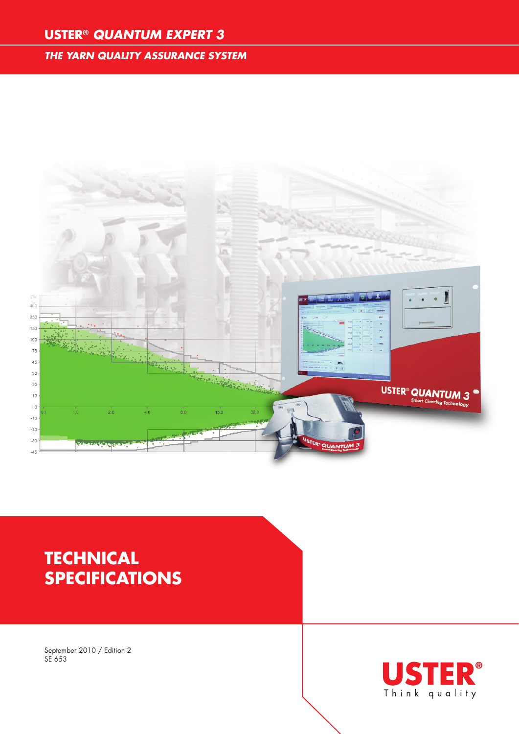### **USTER®** *QUANTUM EXPERT 3*

#### *THE YARN QUALITY ASSURANCE SYSTEM*



# **Technical specifications**

September 2010 / Edition 2 SE 653

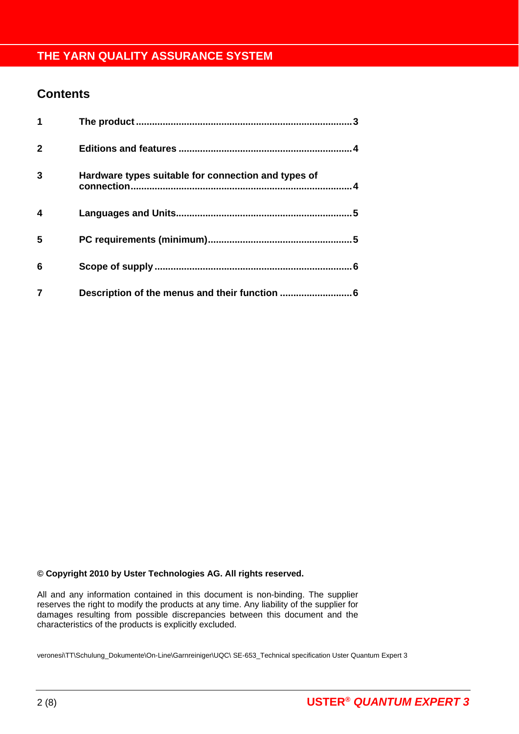#### **Contents**

| 1            |                                                     | $\mathbf{3}$ |
|--------------|-----------------------------------------------------|--------------|
| $\mathbf{2}$ |                                                     |              |
| 3            | Hardware types suitable for connection and types of |              |
| 4            |                                                     |              |
| 5            |                                                     |              |
| 6            |                                                     |              |
|              | Description of the menus and their function         | 6            |

#### **© Copyright 2010 by Uster Technologies AG. All rights reserved.**

All and any information contained in this document is non-binding. The supplier reserves the right to modify the products at any time. Any liability of the supplier for damages resulting from possible discrepancies between this document and the characteristics of the products is explicitly excluded.

veronesi\TT\Schulung\_Dokumente\On-Line\Garnreiniger\UQC\ SE-653\_Technical specification Uster Quantum Expert 3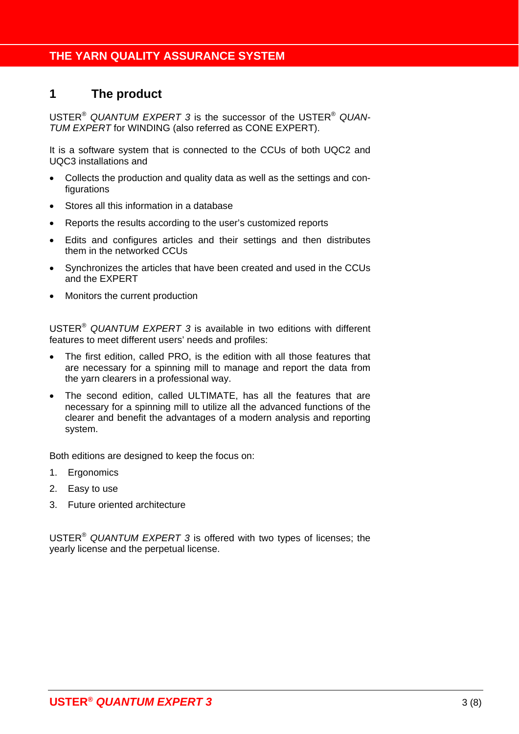#### **1 The product**

USTER® *QUANTUM EXPERT 3* is the successor of the USTER® *QUAN-TUM EXPERT* for WINDING (also referred as CONE EXPERT).

It is a software system that is connected to the CCUs of both UQC2 and UQC3 installations and

- Collects the production and quality data as well as the settings and configurations
- Stores all this information in a database
- Reports the results according to the user's customized reports
- Edits and configures articles and their settings and then distributes them in the networked CCUs
- Synchronizes the articles that have been created and used in the CCUs and the EXPERT
- Monitors the current production

USTER® *QUANTUM EXPERT 3* is available in two editions with different features to meet different users' needs and profiles:

- The first edition, called PRO, is the edition with all those features that are necessary for a spinning mill to manage and report the data from the yarn clearers in a professional way.
- The second edition, called ULTIMATE, has all the features that are necessary for a spinning mill to utilize all the advanced functions of the clearer and benefit the advantages of a modern analysis and reporting system.

Both editions are designed to keep the focus on:

- 1. Ergonomics
- 2. Easy to use
- 3. Future oriented architecture

USTER® *QUANTUM EXPERT 3* is offered with two types of licenses; the yearly license and the perpetual license.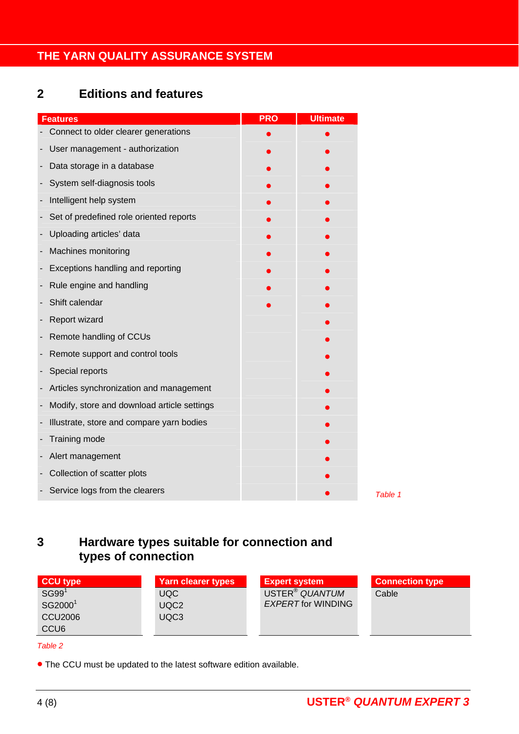# **2 Editions and features**

| <b>Features</b>                             | <b>PRO</b> | <b>Ultimate</b> |         |
|---------------------------------------------|------------|-----------------|---------|
| Connect to older clearer generations        |            |                 |         |
| User management - authorization             |            |                 |         |
| Data storage in a database                  |            |                 |         |
| System self-diagnosis tools                 |            |                 |         |
| Intelligent help system                     |            |                 |         |
| Set of predefined role oriented reports     |            |                 |         |
| Uploading articles' data                    |            |                 |         |
| Machines monitoring                         |            |                 |         |
| Exceptions handling and reporting           |            |                 |         |
| Rule engine and handling                    |            |                 |         |
| Shift calendar                              |            |                 |         |
| Report wizard                               |            |                 |         |
| Remote handling of CCUs                     |            |                 |         |
| Remote support and control tools            |            |                 |         |
| Special reports                             |            |                 |         |
| Articles synchronization and management     |            |                 |         |
| Modify, store and download article settings |            |                 |         |
| Illustrate, store and compare yarn bodies   |            |                 |         |
| Training mode                               |            |                 |         |
| Alert management                            |            |                 |         |
| Collection of scatter plots                 |            |                 |         |
| Service logs from the clearers              |            |                 | Table 1 |

# **3 Hardware types suitable for connection and types of connection**

| CCU type            | <b>Yarn clearer types</b> | <b>Expert system</b>       | <b>Connection type</b> |
|---------------------|---------------------------|----------------------------|------------------------|
| SG99 <sup>1</sup>   | <b>UQC</b>                | USTER <sup>®</sup> QUANTUM | Cable                  |
| SG2000 <sup>1</sup> | UQC <sub>2</sub>          | <b>EXPERT for WINDING</b>  |                        |
| <b>CCU2006</b>      | UQC <sub>3</sub>          |                            |                        |
| CCU <sub>6</sub>    |                           |                            |                        |
| Table 2             |                           |                            |                        |

*Table 2* 

The CCU must be updated to the latest software edition available.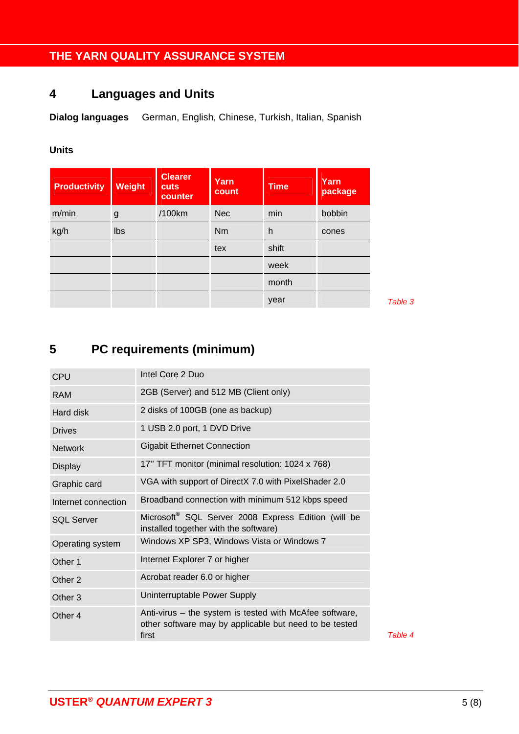# **4 Languages and Units**

**Dialog languages** German, English, Chinese, Turkish, Italian, Spanish

#### **Units**

| <b>Productivity</b> | Weight | <b>Clearer</b><br><b>cuts</b><br>counter | Yarn<br>count | <b>Time</b> | Yarn<br>package |
|---------------------|--------|------------------------------------------|---------------|-------------|-----------------|
| m/min               | g      | /100km                                   | <b>Nec</b>    | min         | bobbin          |
| kg/h                | Ibs    |                                          | <b>Nm</b>     | h           | cones           |
|                     |        |                                          | tex           | shift       |                 |
|                     |        |                                          |               | week        |                 |
|                     |        |                                          |               | month       |                 |
|                     |        |                                          |               | year        |                 |

Table 3

# **5 PC requirements (minimum)**

| Intel Core 2 Duo                                                                                                           |
|----------------------------------------------------------------------------------------------------------------------------|
| 2GB (Server) and 512 MB (Client only)                                                                                      |
| 2 disks of 100GB (one as backup)                                                                                           |
| 1 USB 2.0 port, 1 DVD Drive                                                                                                |
| <b>Gigabit Ethernet Connection</b>                                                                                         |
| 17" TFT monitor (minimal resolution: 1024 x 768)                                                                           |
| VGA with support of DirectX 7.0 with PixelShader 2.0                                                                       |
| Broadband connection with minimum 512 kbps speed                                                                           |
| Microsoft <sup>®</sup> SQL Server 2008 Express Edition (will be<br>installed together with the software)                   |
| Windows XP SP3, Windows Vista or Windows 7                                                                                 |
| Internet Explorer 7 or higher                                                                                              |
| Acrobat reader 6.0 or higher                                                                                               |
| Uninterruptable Power Supply                                                                                               |
| Anti-virus - the system is tested with McAfee software,<br>other software may by applicable but need to be tested<br>first |
|                                                                                                                            |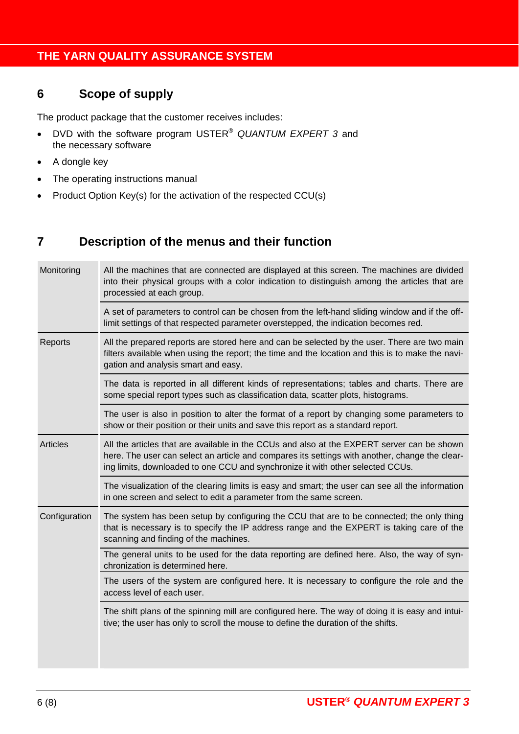### **6 Scope of supply**

The product package that the customer receives includes:

- DVD with the software program USTER® *QUANTUM EXPERT 3* and the necessary software
- A dongle key
- The operating instructions manual
- Product Option Key(s) for the activation of the respected CCU(s)

#### **7 Description of the menus and their function**

| Monitoring      | All the machines that are connected are displayed at this screen. The machines are divided<br>into their physical groups with a color indication to distinguish among the articles that are<br>processied at each group.                                                       |
|-----------------|--------------------------------------------------------------------------------------------------------------------------------------------------------------------------------------------------------------------------------------------------------------------------------|
|                 | A set of parameters to control can be chosen from the left-hand sliding window and if the off-<br>limit settings of that respected parameter overstepped, the indication becomes red.                                                                                          |
| Reports         | All the prepared reports are stored here and can be selected by the user. There are two main<br>filters available when using the report; the time and the location and this is to make the navi-<br>gation and analysis smart and easy.                                        |
|                 | The data is reported in all different kinds of representations; tables and charts. There are<br>some special report types such as classification data, scatter plots, histograms.                                                                                              |
|                 | The user is also in position to alter the format of a report by changing some parameters to<br>show or their position or their units and save this report as a standard report.                                                                                                |
| <b>Articles</b> | All the articles that are available in the CCUs and also at the EXPERT server can be shown<br>here. The user can select an article and compares its settings with another, change the clear-<br>ing limits, downloaded to one CCU and synchronize it with other selected CCUs. |
|                 | The visualization of the clearing limits is easy and smart; the user can see all the information<br>in one screen and select to edit a parameter from the same screen.                                                                                                         |
| Configuration   | The system has been setup by configuring the CCU that are to be connected; the only thing<br>that is necessary is to specify the IP address range and the EXPERT is taking care of the<br>scanning and finding of the machines.                                                |
|                 | The general units to be used for the data reporting are defined here. Also, the way of syn-<br>chronization is determined here.                                                                                                                                                |
|                 | The users of the system are configured here. It is necessary to configure the role and the<br>access level of each user.                                                                                                                                                       |
|                 | The shift plans of the spinning mill are configured here. The way of doing it is easy and intui-<br>tive; the user has only to scroll the mouse to define the duration of the shifts.                                                                                          |
|                 |                                                                                                                                                                                                                                                                                |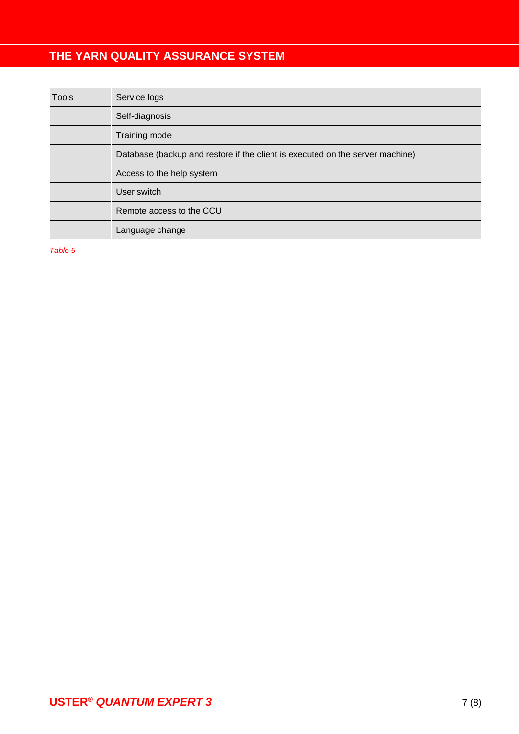| <b>Tools</b> | Service logs                                                                  |
|--------------|-------------------------------------------------------------------------------|
|              | Self-diagnosis                                                                |
|              | Training mode                                                                 |
|              | Database (backup and restore if the client is executed on the server machine) |
|              | Access to the help system                                                     |
|              | User switch                                                                   |
|              | Remote access to the CCU                                                      |
|              | Language change                                                               |

*Table 5*